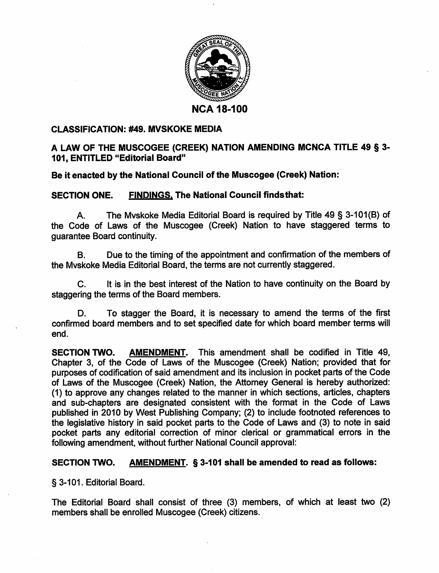

## *CLASSIFICATION: #49. MVSKOKE MEDIA*

## *A LAW OF THE MUSCOGEE (CREEK) NATION AMENDING MCNCA TITLE 49 § 3- 101, ENTITLED "Editorial Board"*

## *Be it enacted by the National Council of the Muscogee (Creek) Nation:*

## *SECTION ONE. FINDINGS. The National Council findsthat:*

A. The Mvskoke Media Editorial Board is required by Title 49 § 3-101(B) of the Code of Laws of the Muscogee (Creek) Nation to have staggered terms to guarantee Board continuity.

B. Due to the timing of the appointment and confirmation of the members of the Mvskoke Media Editorial Board, the terms are not currently staggered.

C. It is in the best interest of the Nation to have continuity on the Board by staggering the terms of the Board members.

D. To stagger the Board, it is necessary to amend the terms of the first confirmed board members and to set specified date for which board member terms will end.

*SECTION TWO. AMENDMENT.* This amendment shall be codified in Title 49, Chapter 3, of the Code of Laws of the Muscogee (Creek) Nation; provided that for purposes of codification of said amendment and its inclusion in pocket parts of the Code of Laws of the Muscogee (Creek) Nation, the Attorney General is hereby authorized: (1) to approve any changes related to the manner in which sections, articles, chapters and sub-chapters are designated consistent with the format in the Code of Laws published in 2010 by West Publishing Company; (2) to include footnoted references to the legislative history in said pocket parts to the Code of Laws and (3) to note in said pocket parts any editorial correction of minor clerical or grammatical errors in the following amendment, without further National Council approval:

## *SECTION TWO. AMENDMENT. § 3-101 shall be amended to read as follows:*

§3-101. Editorial Board.

The Editorial Board shall consist of three (3) members, of which at least two (2) members shall be enrolled Muscogee (Creek) citizens.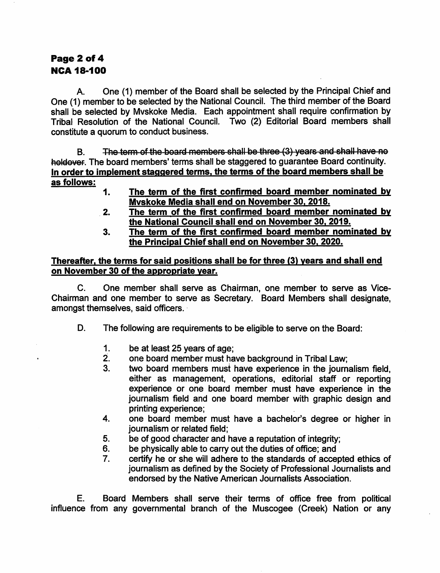# Page 2 of 4 **NCA 18-100**

One (1) member of the Board shall be selected by the Principal Chief and A. One (1) member to be selected by the National Council. The third member of the Board shall be selected by Myskoke Media. Each appointment shall require confirmation by Tribal Resolution of the National Council. Two (2) Editorial Board members shall constitute a quorum to conduct business.

**B.** The term of the board members shall be three (3) years and shall have no holdover. The board members' terms shall be staggered to guarantee Board continuity. In order to implement staggered terms, the terms of the board members shall be as follows:

- $1.$ The term of the first confirmed board member nominated by Myskoke Media shall end on November 30, 2018.
- The term of the first confirmed board member nominated by  $2.$ the National Council shall end on November 30, 2019.
- The term of the first confirmed board member nominated by 3. the Principal Chief shall end on November 30, 2020.

## Thereafter, the terms for said positions shall be for three (3) years and shall end on November 30 of the appropriate year.

 $C_{\cdot}$ One member shall serve as Chairman, one member to serve as Vice-Chairman and one member to serve as Secretary. Board Members shall designate, amongst themselves, said officers.

- D. The following are requirements to be eligible to serve on the Board:
	- $1.$ be at least 25 years of age;
	- one board member must have background in Tribal Law;  $2.$
	- $3<sub>1</sub>$ two board members must have experience in the journalism field, either as management, operations, editorial staff or reporting experience or one board member must have experience in the journalism field and one board member with graphic design and printing experience:
	- one board member must have a bachelor's degree or higher in  $\mathbf{4}$ . journalism or related field:
	- 5. be of good character and have a reputation of integrity;
	- 6. be physically able to carry out the duties of office; and
	- $\overline{7}$ . certify he or she will adhere to the standards of accepted ethics of journalism as defined by the Society of Professional Journalists and endorsed by the Native American Journalists Association.

Board Members shall serve their terms of office free from political Е. influence from any governmental branch of the Muscogee (Creek) Nation or any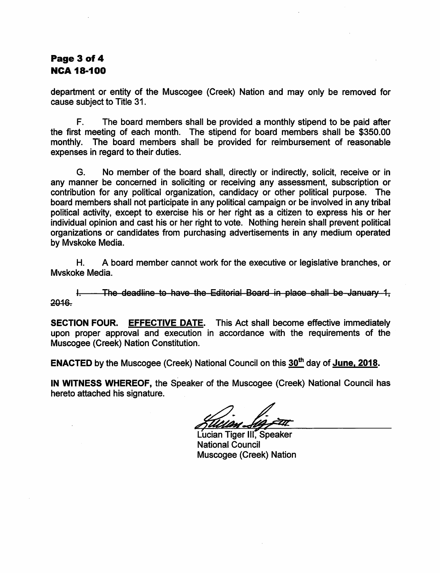# Page 3 of 4 **NCA 18-100**

department or entity of the Muscogee (Creek) Nation and may only be removed for cause subject to Title 31.

 $F_{\perp}$ The board members shall be provided a monthly stipend to be paid after the first meeting of each month. The stipend for board members shall be \$350.00 monthly. The board members shall be provided for reimbursement of reasonable expenses in regard to their duties.

No member of the board shall, directly or indirectly, solicit, receive or in G. any manner be concerned in soliciting or receiving any assessment, subscription or contribution for any political organization, candidacy or other political purpose. The board members shall not participate in any political campaign or be involved in any tribal political activity, except to exercise his or her right as a citizen to express his or her individual opinion and cast his or her right to vote. Nothing herein shall prevent political organizations or candidates from purchasing advertisements in any medium operated by Mvskoke Media.

A board member cannot work for the executive or legislative branches, or Н. Myskoke Media.

The deadline to have the Editorial Board in place shall be January 1, Ł. 2016.

**SECTION FOUR.** EFFECTIVE DATE. This Act shall become effective immediately upon proper approval and execution in accordance with the requirements of the Muscogee (Creek) Nation Constitution.

**ENACTED** by the Muscogee (Creek) National Council on this 30<sup>th</sup> day of June. 2018.

IN WITNESS WHEREOF, the Speaker of the Muscogee (Creek) National Council has hereto attached his signature.

Lucian Tiger III. Speaker **National Council** Muscogee (Creek) Nation